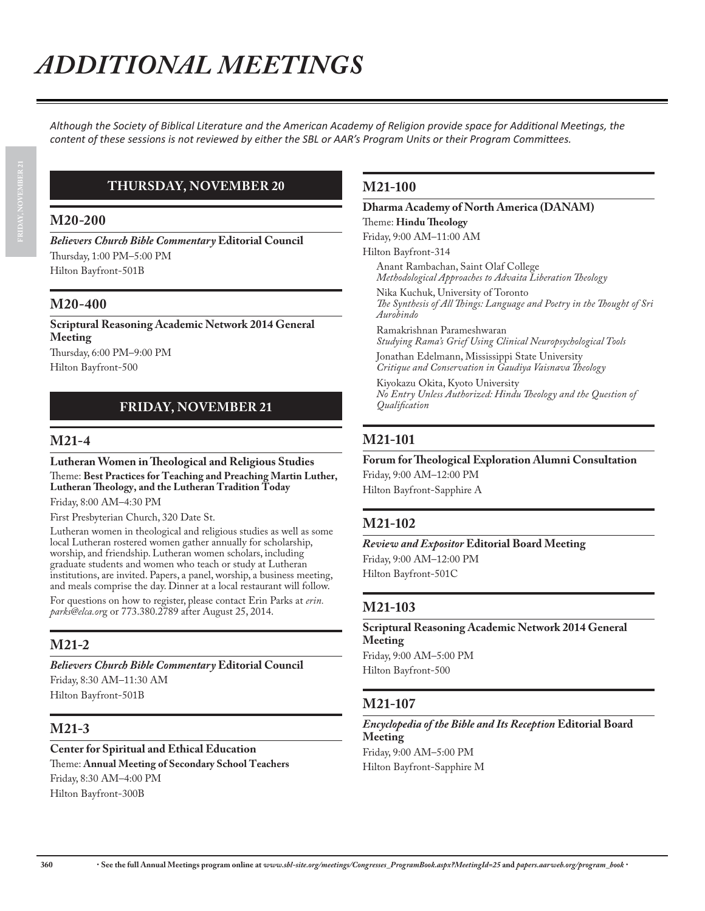Although the Society of Biblical Literature and the American Academy of Religion provide space for Additional Meetings, the *Content of these sessions is not reviewed by either the SBL or AAR's Program Units or their Program Committees.* 

# **THURSDAY, NOVEMBER 20**

#### **M20-200**

*Believers Church Bible Commentary* **Editorial Council** Thursday, 1:00 PM–5:00 PM Hilton Bayfront-501B

# **M20-400**

**Scriptural Reasoning Academic Network 2014 General Meeting**

Thursday, 6:00 PM–9:00 PM Hilton Bayfront-500

# **FRIDAY, NOVEMBER 21**

# **M21-4**

**Lutheran Women in Theological and Religious Studies** Theme: **Best Practices for Teaching and Preaching Martin Luther, Lutheran Theology, and the Lutheran Tradition Today**

Friday, 8:00 AM–4:30 PM

First Presbyterian Church, 320 Date St.

Lutheran women in theological and religious studies as well as some local Lutheran rostered women gather annually for scholarship, worship, and friendship. Lutheran women scholars, including graduate students and women who teach or study at Lutheran institutions, are invited. Papers, a panel, worship, a business meeting, and meals comprise the day. Dinner at a local restaurant will follow.

For questions on how to register, please contact Erin Parks at *erin. parks@elca.or*g or 773.380.2789 after August 25, 2014.

# **M21-2**

#### *Believers Church Bible Commentary* **Editorial Council**

Friday, 8:30 AM–11:30 AM Hilton Bayfront-501B

# **M21-3**

**Center for Spiritual and Ethical Education** Theme: **Annual Meeting of Secondary School Teachers** Friday, 8:30 AM–4:00 PM Hilton Bayfront-300B

# **M21-100**

#### **Dharma Academy of North America (DANAM)** Theme: **Hindu Theology**

Friday, 9:00 AM–11:00 AM

Hilton Bayfront-314

Anant Rambachan, Saint Olaf College *Methodological Approaches to Advaita Liberation Theology*

Nika Kuchuk, University of Toronto *The Synthesis of All Things: Language and Poetry in the Thought of Sri Aurobindo*

Ramakrishnan Parameshwaran *Studying Rama's Grief Using Clinical Neuropsychological Tools*

Jonathan Edelmann, Mississippi State University *Critique and Conservation in Gaudiya Vaisnava Theology*

Kiyokazu Okita, Kyoto University *No Entry Unless Authorized: Hindu Theology and the Question of Qualification*

# **M21-101**

#### **Forum for Theological Exploration Alumni Consultation**

Friday, 9:00 AM–12:00 PM Hilton Bayfront-Sapphire A

# **M21-102**

*Review and Expositor* **Editorial Board Meeting** Friday, 9:00 AM–12:00 PM Hilton Bayfront-501C

#### **M21-103**

**Scriptural Reasoning Academic Network 2014 General Meeting** Friday, 9:00 AM–5:00 PM Hilton Bayfront-500

# **M21-107**

#### *Encyclopedia of the Bible and Its Reception* **Editorial Board Meeting** Friday, 9:00 AM–5:00 PM Hilton Bayfront-Sapphire M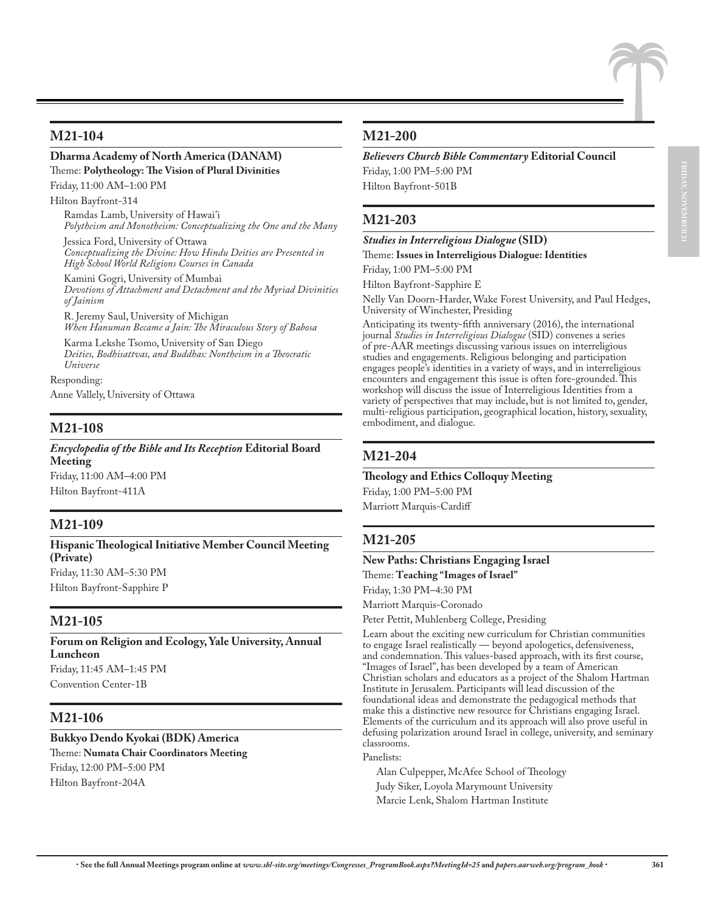#### **M21-104**

#### **Dharma Academy of North America (DANAM)**

# Theme: **Polytheology: The Vision of Plural Divinities**

Friday, 11:00 AM–1:00 PM

Hilton Bayfront-314

Ramdas Lamb, University of Hawai'i *Polytheism and Monotheism: Conceptualizing the One and the Many*

Jessica Ford, University of Ottawa *Conceptualizing the Divine: How Hindu Deities are Presented in High School World Religions Courses in Canada*

Kamini Gogri, University of Mumbai *Devotions of Attachment and Detachment and the Myriad Divinities of Jainism*

R. Jeremy Saul, University of Michigan *When Hanuman Became a Jain: The Miraculous Story of Babosa*

Karma Lekshe Tsomo, University of San Diego *Deities, Bodhisattvas, and Buddhas: Nontheism in a Theocratic Universe*

Responding: Anne Vallely, University of Ottawa

# **M21-108**

*Encyclopedia of the Bible and Its Reception* **Editorial Board Meeting** Friday, 11:00 AM–4:00 PM Hilton Bayfront-411A

# **M21-109**

**Hispanic Theological Initiative Member Council Meeting (Private)** Friday, 11:30 AM–5:30 PM Hilton Bayfront-Sapphire P

#### **M21-105**

**Forum on Religion and Ecology, Yale University, Annual Luncheon** Friday, 11:45 AM–1:45 PM Convention Center-1B

#### **M21-106**

**Bukkyo Dendo Kyokai (BDK) America** Theme: **Numata Chair Coordinators Meeting** Friday, 12:00 PM–5:00 PM Hilton Bayfront-204A

#### **M21-200**

*Believers Church Bible Commentary* **Editorial Council**

Friday, 1:00 PM–5:00 PM Hilton Bayfront-501B

# **M21-203**

*Studies in Interreligious Dialogue* **(SID)**

Theme: **Issues in Interreligious Dialogue: Identities**

Friday, 1:00 PM–5:00 PM

Hilton Bayfront-Sapphire E

Nelly Van Doorn-Harder, Wake Forest University, and Paul Hedges, University of Winchester, Presiding

Anticipating its twenty-fifth anniversary (2016), the international journal *Studies in Interreligious Dialogue* (SID) convenes a series of pre-AAR meetings discussing various issues on interreligious studies and engagements. Religious belonging and participation engages people's identities in a variety of ways, and in interreligious encounters and engagement this issue is often fore-grounded. This workshop will discuss the issue of Interreligious Identities from a variety of perspectives that may include, but is not limited to, gender, multi-religious participation, geographical location, history, sexuality, embodiment, and dialogue.

#### **M21-204**

#### **Theology and Ethics Colloquy Meeting**

Friday, 1:00 PM–5:00 PM Marriott Marquis-Cardiff

# **M21-205**

**New Paths: Christians Engaging Israel** Theme: **Teaching "Images of Israel"** Friday, 1:30 PM–4:30 PM Marriott Marquis-Coronado

Peter Pettit, Muhlenberg College, Presiding

Learn about the exciting new curriculum for Christian communities to engage Israel realistically — beyond apologetics, defensiveness, and condemnation. This values-based approach, with its first course, "Images of Israel", has been developed by a team of American Christian scholars and educators as a project of the Shalom Hartman Institute in Jerusalem. Participants will lead discussion of the foundational ideas and demonstrate the pedagogical methods that make this a distinctive new resource for Christians engaging Israel. Elements of the curriculum and its approach will also prove useful in defusing polarization around Israel in college, university, and seminary classrooms.

#### Panelists:

Alan Culpepper, McAfee School of Theology Judy Siker, Loyola Marymount University Marcie Lenk, Shalom Hartman Institute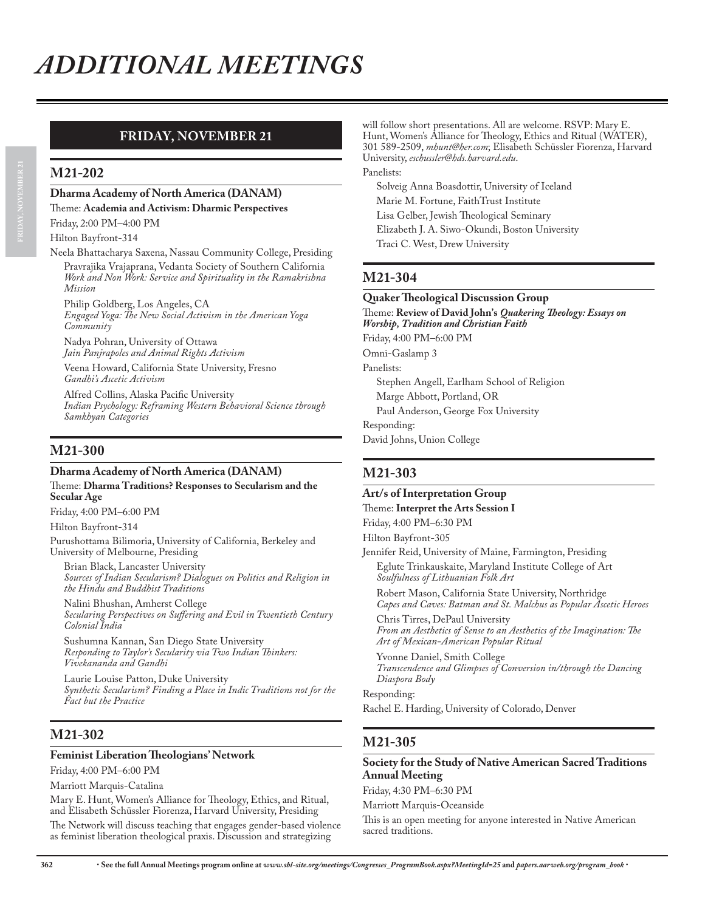# **FRIDAY, NOVEMBER 21**

#### **M21-202**

# **Dharma Academy of North America (DANAM)**

Theme: **Academia and Activism: Dharmic Perspectives**

Friday, 2:00 PM–4:00 PM

Hilton Bayfront-314

#### Neela Bhattacharya Saxena, Nassau Community College, Presiding Pravrajika Vrajaprana, Vedanta Society of Southern California *Work and Non Work: Service and Spirituality in the Ramakrishna Mission*

Philip Goldberg, Los Angeles, CA *Engaged Yoga: The New Social Activism in the American Yoga Community*

Nadya Pohran, University of Ottawa *Jain Panjrapoles and Animal Rights Activism*

Veena Howard, California State University, Fresno *Gandhi's Ascetic Activism*

Alfred Collins, Alaska Pacific University *Indian Psychology: Reframing Western Behavioral Science through Samkhyan Categories*

# **M21-300**

#### **Dharma Academy of North America (DANAM)** Theme: **Dharma Traditions? Responses to Secularism and the Secular Age**

Friday, 4:00 PM–6:00 PM

Hilton Bayfront-314

Purushottama Bilimoria, University of California, Berkeley and University of Melbourne, Presiding

Brian Black, Lancaster University *Sources of Indian Secularism? Dialogues on Politics and Religion in the Hindu and Buddhist Traditions*

Nalini Bhushan, Amherst College *Secularing Perspectives on Suffering and Evil in Twentieth Century Colonial India*

Sushumna Kannan, San Diego State University *Responding to Taylor's Secularity via Two Indian Thinkers: Vivekananda and Gandhi*

Laurie Louise Patton, Duke University *Synthetic Secularism? Finding a Place in Indic Traditions not for the Fact but the Practice*

#### **M21-302**

#### **Feminist Liberation Theologians' Network**

Friday, 4:00 PM–6:00 PM

Marriott Marquis-Catalina Mary E. Hunt, Women's Alliance for Theology, Ethics, and Ritual, and Elisabeth Schüssler Fiorenza, Harvard University, Presiding

The Network will discuss teaching that engages gender-based violence as feminist liberation theological praxis. Discussion and strategizing

will follow short presentations. All are welcome. RSVP: Mary E. Hunt, Women's Alliance for Theology, Ethics and Ritual (WATER), 301 589-2509, *mhunt@her.com*; Elisabeth Schüssler Fiorenza, Harvard University, *eschussler@hds.harvard.edu*. Panelists:

Solveig Anna Boasdottir, University of Iceland Marie M. Fortune, FaithTrust Institute Lisa Gelber, Jewish Theological Seminary Elizabeth J. A. Siwo-Okundi, Boston University Traci C. West, Drew University

# **M21-304**

#### **Quaker Theological Discussion Group**

Theme: **Review of David John's** *Quakering Theology: Essays on Worship, Tradition and Christian Faith* Friday, 4:00 PM–6:00 PM Omni-Gaslamp 3 Panelists: Stephen Angell, Earlham School of Religion Marge Abbott, Portland, OR Paul Anderson, George Fox University Responding: David Johns, Union College

#### **M21-303**

#### **Art/s of Interpretation Group**

Theme: **Interpret the Arts Session I**

Friday, 4:00 PM–6:30 PM

Hilton Bayfront-305

Jennifer Reid, University of Maine, Farmington, Presiding Eglute Trinkauskaite, Maryland Institute College of Art

*Soulfulness of Lithuanian Folk Art* Robert Mason, California State University, Northridge *Capes and Caves: Batman and St. Malchus as Popular Ascetic Heroes*

Chris Tirres, DePaul University *From an Aesthetics of Sense to an Aesthetics of the Imagination: The Art of Mexican-American Popular Ritual*

Yvonne Daniel, Smith College *Transcendence and Glimpses of Conversion in/through the Dancing Diaspora Body*

Responding: Rachel E. Harding, University of Colorado, Denver

# **M21-305**

#### **Society for the Study of Native American Sacred Traditions Annual Meeting**

Friday, 4:30 PM–6:30 PM

Marriott Marquis-Oceanside

This is an open meeting for anyone interested in Native American sacred traditions.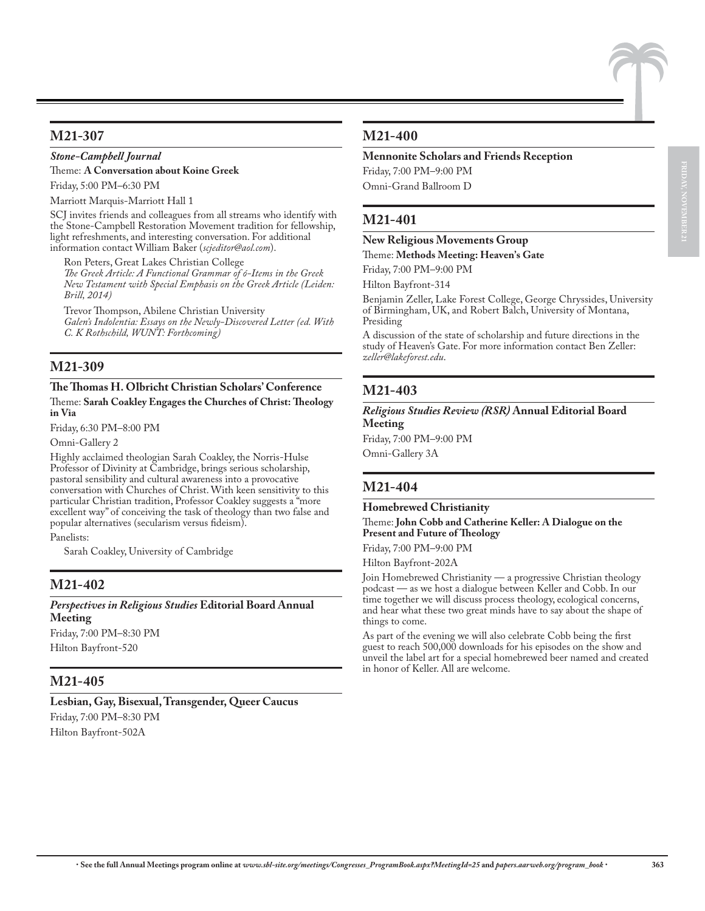#### **M21-307**

#### *Stone-Campbell Journal*

Theme: **A Conversation about Koine Greek**

Friday, 5:00 PM–6:30 PM

Marriott Marquis-Marriott Hall 1

SCJ invites friends and colleagues from all streams who identify with the Stone-Campbell Restoration Movement tradition for fellowship, light refreshments, and interesting conversation. For additional information contact William Baker (*scjeditor@aol.com*).

Ron Peters, Great Lakes Christian College *The Greek Article: A Functional Grammar of ó-Items in the Greek New Testament with Special Emphasis on the Greek Article (Leiden: Brill, 2014)*

Trevor Thompson, Abilene Christian University *Galen's Indolentia: Essays on the Newly-Discovered Letter (ed. With C. K Rothschild, WUNT: Forthcoming)*

#### **M21-309**

#### **The Thomas H. Olbricht Christian Scholars' Conference** Theme: **Sarah Coakley Engages the Churches of Christ: Theology in Via**

Friday, 6:30 PM–8:00 PM

Omni-Gallery 2

Highly acclaimed theologian Sarah Coakley, the Norris-Hulse Professor of Divinity at Cambridge, brings serious scholarship, pastoral sensibility and cultural awareness into a provocative conversation with Churches of Christ. With keen sensitivity to this particular Christian tradition, Professor Coakley suggests a "more excellent way" of conceiving the task of theology than two false and popular alternatives (secularism versus fideism).

Panelists:

Sarah Coakley, University of Cambridge

#### **M21-402**

*Perspectives in Religious Studies* **Editorial Board Annual Meeting**

Friday, 7:00 PM–8:30 PM Hilton Bayfront-520

# **M21-405**

**Lesbian, Gay, Bisexual, Transgender, Queer Caucus** Friday, 7:00 PM–8:30 PM Hilton Bayfront-502A

#### **M21-400**

#### **Mennonite Scholars and Friends Reception**

Friday, 7:00 PM–9:00 PM Omni-Grand Ballroom D

# **M21-401**

#### **New Religious Movements Group** Theme: **Methods Meeting: Heaven's Gate**

Friday, 7:00 PM–9:00 PM

Hilton Bayfront-314

Benjamin Zeller, Lake Forest College, George Chryssides, University of Birmingham, UK, and Robert Balch, University of Montana, Presiding

A discussion of the state of scholarship and future directions in the study of Heaven's Gate. For more information contact Ben Zeller: *zeller@lakeforest.edu*.

# **M21-403**

*Religious Studies Review (RSR)* **Annual Editorial Board Meeting**

Friday, 7:00 PM–9:00 PM Omni-Gallery 3A

# **M21-404**

**Homebrewed Christianity**

Theme: **John Cobb and Catherine Keller: A Dialogue on the Present and Future of Theology**

Friday, 7:00 PM–9:00 PM

Hilton Bayfront-202A

Join Homebrewed Christianity — a progressive Christian theology podcast — as we host a dialogue between Keller and Cobb. In our time together we will discuss process theology, ecological concerns, and hear what these two great minds have to say about the shape of things to come.

As part of the evening we will also celebrate Cobb being the first guest to reach 500,000 downloads for his episodes on the show and unveil the label art for a special homebrewed beer named and created in honor of Keller. All are welcome.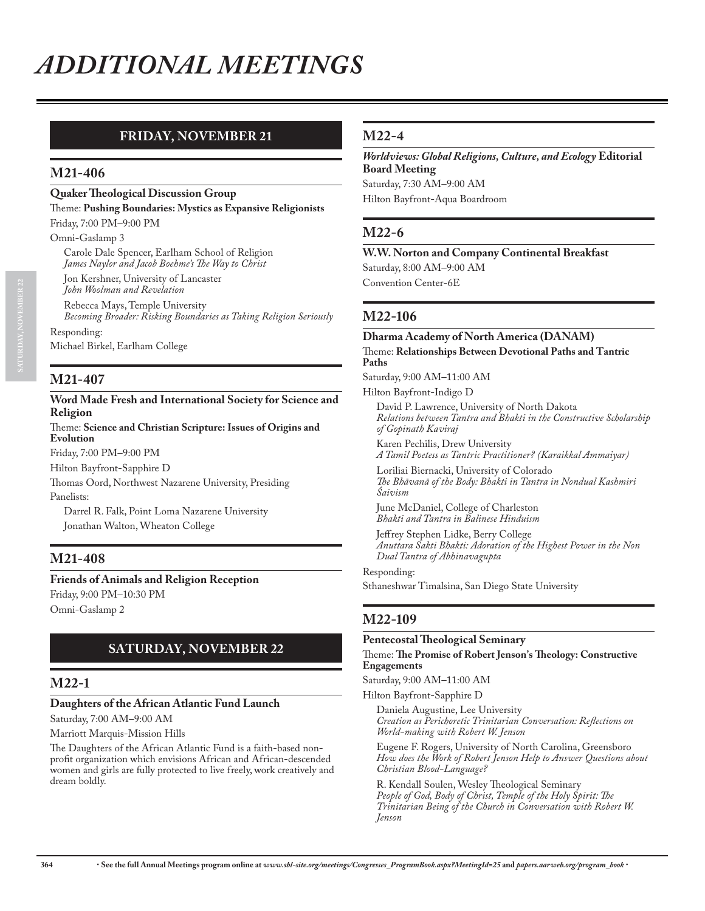# **FRIDAY, NOVEMBER 21**

#### **M21-406**

#### **Quaker Theological Discussion Group**

Theme: **Pushing Boundaries: Mystics as Expansive Religionists**

Friday, 7:00 PM–9:00 PM

Omni-Gaslamp 3

Carole Dale Spencer, Earlham School of Religion *James Naylor and Jacob Boehme's The Way to Christ*

Jon Kershner, University of Lancaster *John Woolman and Revelation*

Rebecca Mays, Temple University *Becoming Broader: Risking Boundaries as Taking Religion Seriously*

Responding:

Michael Birkel, Earlham College

# **M21-407**

#### **Word Made Fresh and International Society for Science and Religion**

#### Theme: **Science and Christian Scripture: Issues of Origins and Evolution**

Friday, 7:00 PM–9:00 PM

Hilton Bayfront-Sapphire D

Thomas Oord, Northwest Nazarene University, Presiding Panelists:

Darrel R. Falk, Point Loma Nazarene University Jonathan Walton, Wheaton College

# **M21-408**

**Friends of Animals and Religion Reception** Friday, 9:00 PM–10:30 PM Omni-Gaslamp 2

# **SATURDAY, NOVEMBER 22**

#### **M22-1**

# **Daughters of the African Atlantic Fund Launch**

Saturday, 7:00 AM–9:00 AM

Marriott Marquis-Mission Hills

The Daughters of the African Atlantic Fund is a faith-based nonprofit organization which envisions African and African-descended women and girls are fully protected to live freely, work creatively and dream boldly.

#### **M22-4**

*Worldviews: Global Religions, Culture, and Ecology* **Editorial Board Meeting** Saturday, 7:30 AM–9:00 AM Hilton Bayfront-Aqua Boardroom

# **M22-6**

**W.W. Norton and Company Continental Breakfast** Saturday, 8:00 AM–9:00 AM Convention Center-6E

# **M22-106**

#### **Dharma Academy of North America (DANAM)** Theme: **Relationships Between Devotional Paths and Tantric Paths**

Saturday, 9:00 AM–11:00 AM

#### Hilton Bayfront-Indigo D

David P. Lawrence, University of North Dakota *Relations between Tantra and Bhakti in the Constructive Scholarship of Gopinath Kaviraj*

Karen Pechilis, Drew University *A Tamil Poetess as Tantric Practitioner? (Karaikkal Ammaiyar)*

Loriliai Biernacki, University of Colorado *The Bhāvanā of the Body: Bhakti in Tantra in Nondual Kashmiri Śaivism*

June McDaniel, College of Charleston *Bhakti and Tantra in Balinese Hinduism*

Jeffrey Stephen Lidke, Berry College *Anuttara Sakti Bhakti: Adoration of the Highest Power in the Non Dual Tantra of Abhinavagupta*

Responding: Sthaneshwar Timalsina, San Diego State University

#### **M22-109**

#### **Pentecostal Theological Seminary**

#### Theme: **The Promise of Robert Jenson's Theology: Constructive Engagements**

Saturday, 9:00 AM–11:00 AM

Hilton Bayfront-Sapphire D

Daniela Augustine, Lee University *Creation as Perichoretic Trinitarian Conversation: Reflections on World-making with Robert W. Jenson*

Eugene F. Rogers, University of North Carolina, Greensboro *How does the Work of Robert Jenson Help to Answer Questions about Christian Blood-Language?*

R. Kendall Soulen, Wesley Theological Seminary *People of God, Body of Christ, Temple of the Holy Spirit: The Trinitarian Being of the Church in Conversation with Robert W. Jenson*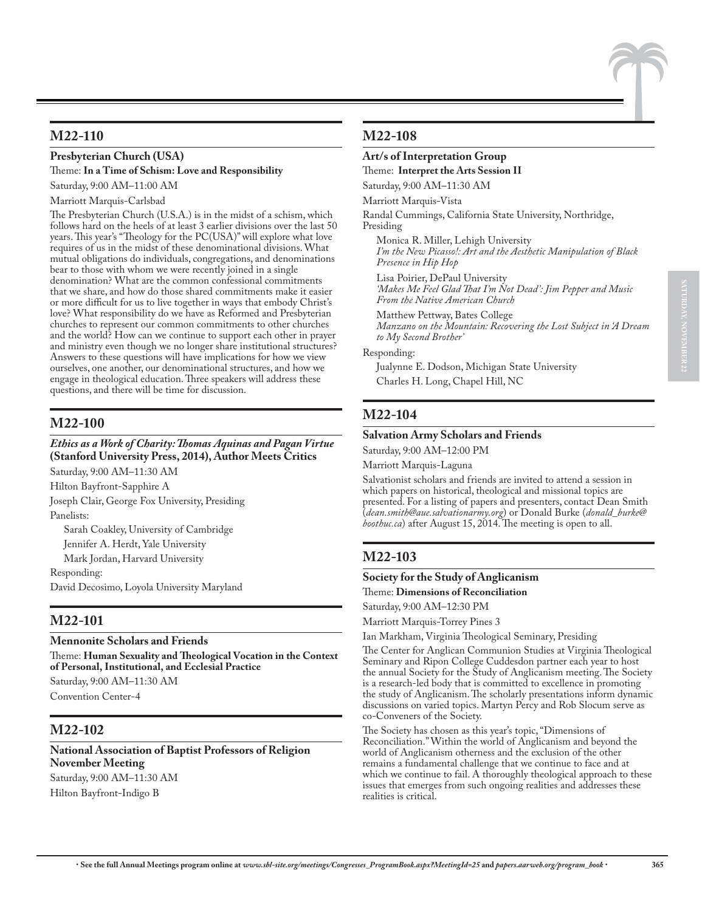#### **Presbyterian Church (USA)**

Theme: **In a Time of Schism: Love and Responsibility** Saturday, 9:00 AM–11:00 AM

Marriott Marquis-Carlsbad

The Presbyterian Church (U.S.A.) is in the midst of a schism, which follows hard on the heels of at least 3 earlier divisions over the last 50 years. This year's "Theology for the PC(USA)" will explore what love requires of us in the midst of these denominational divisions. What mutual obligations do individuals, congregations, and denominations bear to those with whom we were recently joined in a single denomination? What are the common confessional commitments that we share, and how do those shared commitments make it easier or more difficult for us to live together in ways that embody Christ's love? What responsibility do we have as Reformed and Presbyterian churches to represent our common commitments to other churches and the world? How can we continue to support each other in prayer and ministry even though we no longer share institutional structures? Answers to these questions will have implications for how we view ourselves, one another, our denominational structures, and how we engage in theological education. Three speakers will address these questions, and there will be time for discussion.

# **M22-100**

#### *Ethics as a Work of Charity: Thomas Aquinas and Pagan Virtue*  **(Stanford University Press, 2014), Author Meets Critics**

Saturday, 9:00 AM–11:30 AM

Hilton Bayfront-Sapphire A Joseph Clair, George Fox University, Presiding

Panelists:

Sarah Coakley, University of Cambridge Jennifer A. Herdt, Yale University

Mark Jordan, Harvard University

Responding:

David Decosimo, Loyola University Maryland

#### **M22-101**

#### **Mennonite Scholars and Friends**

Theme: **Human Sexuality and Theological Vocation in the Context of Personal, Institutional, and Ecclesial Practice**

Saturday, 9:00 AM–11:30 AM Convention Center-4

#### **M22-102**

# **National Association of Baptist Professors of Religion November Meeting**

Saturday, 9:00 AM–11:30 AM Hilton Bayfront-Indigo B

#### **M22-108**

#### **Art/s of Interpretation Group**

Theme: **Interpret the Arts Session II**

Saturday, 9:00 AM–11:30 AM

Marriott Marquis-Vista

Randal Cummings, California State University, Northridge, Presiding

Monica R. Miller, Lehigh University *I'm the New Picasso!: Art and the Aesthetic Manipulation of Black Presence in Hip Hop*

Lisa Poirier, DePaul University *'Makes Me Feel Glad That I'm Not Dead': Jim Pepper and Music From the Native American Church*

Matthew Pettway, Bates College *Manzano on the Mountain: Recovering the Lost Subject in 'A Dream to My Second Brother'*

Responding:

Jualynne E. Dodson, Michigan State University Charles H. Long, Chapel Hill, NC

# **M22-104**

#### **Salvation Army Scholars and Friends**

Saturday, 9:00 AM–12:00 PM

Marriott Marquis-Laguna

Salvationist scholars and friends are invited to attend a session in which papers on historical, theological and missional topics are presented. For a listing of papers and presenters, contact Dean Smith (*dean.smith@aue.salvationarmy.org*) or Donald Burke (*donald\_burke@ boothuc.ca*) after August 15, 2014. The meeting is open to all.

# **M22-103**

#### **Society for the Study of Anglicanism**

Theme: **Dimensions of Reconciliation**

Saturday, 9:00 AM–12:30 PM

Marriott Marquis-Torrey Pines 3

Ian Markham, Virginia Theological Seminary, Presiding

The Center for Anglican Communion Studies at Virginia Theological Seminary and Ripon College Cuddesdon partner each year to host the annual Society for the Study of Anglicanism meeting. The Society is a research-led body that is committed to excellence in promoting the study of Anglicanism. The scholarly presentations inform dynamic discussions on varied topics. Martyn Percy and Rob Slocum serve as co-Conveners of the Society.

The Society has chosen as this year's topic, "Dimensions of Reconciliation." Within the world of Anglicanism and beyond the world of Anglicanism otherness and the exclusion of the other remains a fundamental challenge that we continue to face and at which we continue to fail. A thoroughly theological approach to these issues that emerges from such ongoing realities and addresses these realities is critical.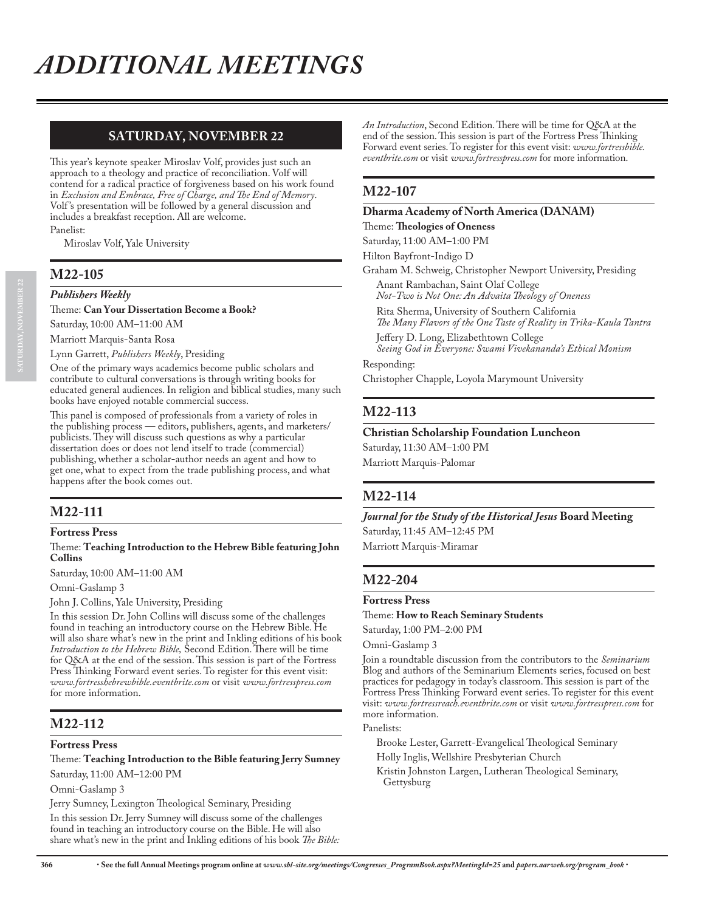# **SATURDAY, NOVEMBER 22**

This year's keynote speaker Miroslav Volf, provides just such an approach to a theology and practice of reconciliation. Volf will contend for a radical practice of forgiveness based on his work found in *Exclusion and Embrace, Free of Charge, and The End of Memory*. Volf 's presentation will be followed by a general discussion and includes a breakfast reception. All are welcome.

Panelist:

Miroslav Volf, Yale University

#### **M22-105**

#### *Publishers Weekly*

Theme: **Can Your Dissertation Become a Book?**

Saturday, 10:00 AM–11:00 AM

Marriott Marquis-Santa Rosa

Lynn Garrett, *Publishers Weekly*, Presiding

One of the primary ways academics become public scholars and contribute to cultural conversations is through writing books for educated general audiences. In religion and biblical studies, many such books have enjoyed notable commercial success.

This panel is composed of professionals from a variety of roles in the publishing process — editors, publishers, agents, and marketers/ publicists. They will discuss such questions as why a particular dissertation does or does not lend itself to trade (commercial) publishing, whether a scholar-author needs an agent and how to get one, what to expect from the trade publishing process, and what happens after the book comes out.

# **M22-111**

#### **Fortress Press**

#### Theme: **Teaching Introduction to the Hebrew Bible featuring John Collins**

Saturday, 10:00 AM–11:00 AM

Omni-Gaslamp 3

John J. Collins, Yale University, Presiding

In this session Dr. John Collins will discuss some of the challenges found in teaching an introductory course on the Hebrew Bible. He will also share what's new in the print and Inkling editions of his book *Introduction to the Hebrew Bible,* Second Edition. There will be time for Q&A at the end of the session. This session is part of the Fortress Press Thinking Forward event series. To register for this event visit: *www.fortresshebrewbible.eventbrite.com* or visit *www.fortresspress.com* for more information.

#### **M22-112**

#### **Fortress Press**

Theme: **Teaching Introduction to the Bible featuring Jerry Sumney** Saturday, 11:00 AM–12:00 PM

Omni-Gaslamp 3

Jerry Sumney, Lexington Theological Seminary, Presiding

In this session Dr. Jerry Sumney will discuss some of the challenges found in teaching an introductory course on the Bible. He will also share what's new in the print and Inkling editions of his book *The Bible:*  *An Introduction*, Second Edition. There will be time for Q&A at the end of the session. This session is part of the Fortress Press Thinking Forward event series. To register for this event visit: *www.fortressbible. eventbrite.com* or visit *www.fortresspress.com* for more information.

#### **M22-107**

#### **Dharma Academy of North America (DANAM)**

Theme: **Theologies of Oneness**

Saturday, 11:00 AM–1:00 PM

Hilton Bayfront-Indigo D

Graham M. Schweig, Christopher Newport University, Presiding

Anant Rambachan, Saint Olaf College *Not-Two is Not One: An Advaita Theology of Oneness*

Rita Sherma, University of Southern California *The Many Flavors of the One Taste of Reality in Trika-Kaula Tantra*

Jeffery D. Long, Elizabethtown College *Seeing God in Everyone: Swami Vivekananda's Ethical Monism*

Responding:

Christopher Chapple, Loyola Marymount University

#### **M22-113**

#### **Christian Scholarship Foundation Luncheon**

Saturday, 11:30 AM–1:00 PM Marriott Marquis-Palomar

#### **M22-114**

*Journal for the Study of the Historical Jesus* **Board Meeting** Saturday, 11:45 AM–12:45 PM

Marriott Marquis-Miramar

#### **M22-204**

#### **Fortress Press**

Theme: **How to Reach Seminary Students**

Saturday, 1:00 PM–2:00 PM

Omni-Gaslamp 3

Join a roundtable discussion from the contributors to the *Seminarium* Blog and authors of the Seminarium Elements series, focused on best practices for pedagogy in today's classroom. This session is part of the Fortress Press Thinking Forward event series. To register for this event visit: *www.fortressreach.eventbrite.com* or visit *www.fortresspress.com* for more information.

Panelists:

Brooke Lester, Garrett-Evangelical Theological Seminary

Holly Inglis, Wellshire Presbyterian Church

Kristin Johnston Largen, Lutheran Theological Seminary, Gettysburg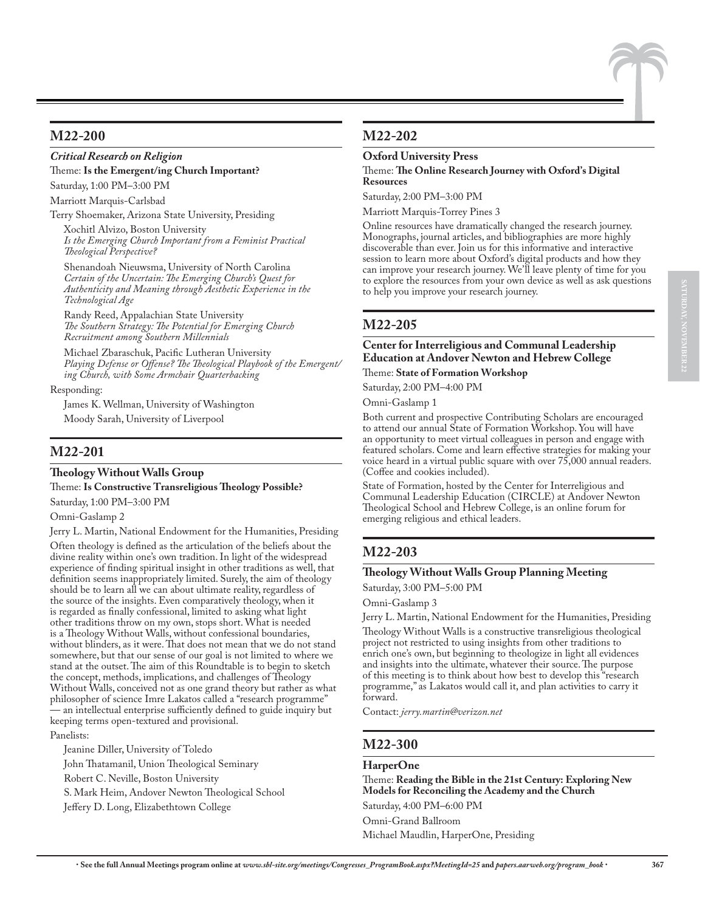# **M22-200**

#### *Critical Research on Religion*

Theme: **Is the Emergent/ing Church Important?** Saturday, 1:00 PM–3:00 PM

Marriott Marquis-Carlsbad

Terry Shoemaker, Arizona State University, Presiding

Xochitl Alvizo, Boston University *Is the Emerging Church Important from a Feminist Practical Theological Perspective?*

Shenandoah Nieuwsma, University of North Carolina *Certain of the Uncertain: The Emerging Church's Quest for Authenticity and Meaning through Aesthetic Experience in the Technological Age*

Randy Reed, Appalachian State University *The Southern Strategy: The Potential for Emerging Church Recruitment among Southern Millennials*

Michael Zbaraschuk, Pacific Lutheran University *Playing Defense or Offense? The Theological Playbook of the Emergent/ ing Church, with Some Armchair Quarterbacking*

Responding:

James K. Wellman, University of Washington Moody Sarah, University of Liverpool

#### **M22-201**

#### **Theology Without Walls Group**

Theme: **Is Constructive Transreligious Theology Possible?** Saturday, 1:00 PM–3:00 PM

Omni-Gaslamp 2

Jerry L. Martin, National Endowment for the Humanities, Presiding

Often theology is defined as the articulation of the beliefs about the divine reality within one's own tradition. In light of the widespread experience of finding spiritual insight in other traditions as well, that definition seems inappropriately limited. Surely, the aim of theology should be to learn all we can about ultimate reality, regardless of the source of the insights. Even comparatively theology, when it is regarded as finally confessional, limited to asking what light other traditions throw on my own, stops short. What is needed is a Theology Without Walls, without confessional boundaries, without blinders, as it were. That does not mean that we do not stand somewhere, but that our sense of our goal is not limited to where we stand at the outset. The aim of this Roundtable is to begin to sketch the concept, methods, implications, and challenges of Theology Without Walls, conceived not as one grand theory but rather as what philosopher of science Imre Lakatos called a "research programme" — an intellectual enterprise sufficiently defined to guide inquiry but keeping terms open-textured and provisional. Panelists:

Jeanine Diller, University of Toledo

John Thatamanil, Union Theological Seminary

Robert C. Neville, Boston University

S. Mark Heim, Andover Newton Theological School

Jeffery D. Long, Elizabethtown College

# **M22-202**

#### **Oxford University Press**

Theme: **The Online Research Journey with Oxford's Digital Resources**

Saturday, 2:00 PM–3:00 PM

Marriott Marquis-Torrey Pines 3

Online resources have dramatically changed the research journey. Monographs, journal articles, and bibliographies are more highly discoverable than ever. Join us for this informative and interactive session to learn more about Oxford's digital products and how they can improve your research journey. We'll leave plenty of time for you to explore the resources from your own device as well as ask questions to help you improve your research journey.

# **M22-205**

# **Center for Interreligious and Communal Leadership Education at Andover Newton and Hebrew College**

Theme: **State of Formation Workshop**

Saturday, 2:00 PM–4:00 PM

Omni-Gaslamp 1

Both current and prospective Contributing Scholars are encouraged to attend our annual State of Formation Workshop. You will have an opportunity to meet virtual colleagues in person and engage with featured scholars. Come and learn effective strategies for making your voice heard in a virtual public square with over 75,000 annual readers. (Coffee and cookies included).

State of Formation, hosted by the Center for Interreligious and Communal Leadership Education (CIRCLE) at Andover Newton Theological School and Hebrew College, is an online forum for emerging religious and ethical leaders.

# **M22-203**

# **Theology Without Walls Group Planning Meeting**

Saturday, 3:00 PM–5:00 PM

Omni-Gaslamp 3

Jerry L. Martin, National Endowment for the Humanities, Presiding

Theology Without Walls is a constructive transreligious theological project not restricted to using insights from other traditions to enrich one's own, but beginning to theologize in light all evidences and insights into the ultimate, whatever their source. The purpose of this meeting is to think about how best to develop this "research programme," as Lakatos would call it, and plan activities to carry it forward.

Contact: *jerry.martin@verizon.net*

# **M22-300**

#### **HarperOne**

Theme: **Reading the Bible in the 21st Century: Exploring New Models for Reconciling the Academy and the Church** Saturday, 4:00 PM–6:00 PM

Omni-Grand Ballroom

Michael Maudlin, HarperOne, Presiding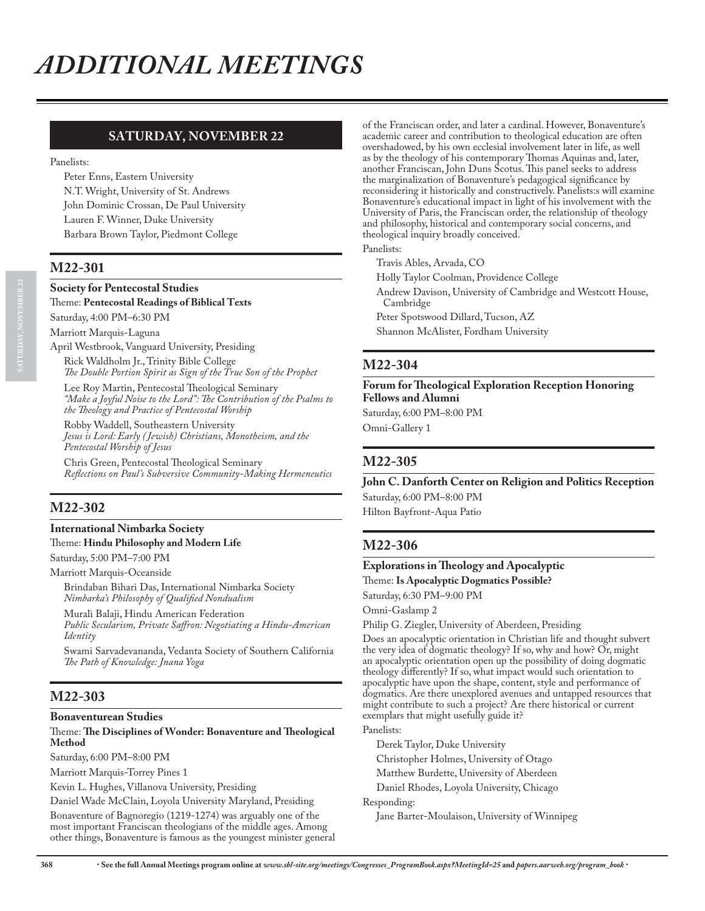# **SATURDAY, NOVEMBER 22**

Panelists:

Peter Enns, Eastern University N.T. Wright, University of St. Andrews John Dominic Crossan, De Paul University Lauren F. Winner, Duke University Barbara Brown Taylor, Piedmont College

# **M22-301**

#### **Society for Pentecostal Studies**

Theme: **Pentecostal Readings of Biblical Texts**

Saturday, 4:00 PM–6:30 PM

Marriott Marquis-Laguna

April Westbrook, Vanguard University, Presiding

Rick Waldholm Jr., Trinity Bible College *The Double Portion Spirit as Sign of the True Son of the Prophet*

Lee Roy Martin, Pentecostal Theological Seminary *"Make a Joyful Noise to the Lord": The Contribution of the Psalms to the Theology and Practice of Pentecostal Worship*

Robby Waddell, Southeastern University *Jesus is Lord: Early ( Jewish) Christians, Monotheism, and the Pentecostal Worship of Jesus*

Chris Green, Pentecostal Theological Seminary *Reflections on Paul's Subversive Community-Making Hermeneutics*

# **M22-302**

#### **International Nimbarka Society** Theme: **Hindu Philosophy and Modern Life**

Saturday, 5:00 PM–7:00 PM

Marriott Marquis-Oceanside

Brindaban Bihari Das, International Nimbarka Society *Nimbarka's Philosophy of Qualified Nondualism*

Murali Balaji, Hindu American Federation

*Public Secularism, Private Saffron: Negotiating a Hindu-American Identity*

Swami Sarvadevananda, Vedanta Society of Southern California *The Path of Knowledge: Jnana Yoga*

#### **M22-303**

#### **Bonaventurean Studies**

#### Theme: **The Disciplines of Wonder: Bonaventure and Theological Method**

Saturday, 6:00 PM–8:00 PM

Marriott Marquis-Torrey Pines 1

Kevin L. Hughes, Villanova University, Presiding

Daniel Wade McClain, Loyola University Maryland, Presiding Bonaventure of Bagnoregio (1219-1274) was arguably one of the most important Franciscan theologians of the middle ages. Among other things, Bonaventure is famous as the youngest minister general of the Franciscan order, and later a cardinal. However, Bonaventure's academic career and contribution to theological education are often overshadowed, by his own ecclesial involvement later in life, as well as by the theology of his contemporary Thomas Aquinas and, later, another Franciscan, John Duns Scotus. This panel seeks to address the marginalization of Bonaventure's pedagogical significance by reconsidering it historically and constructively. Panelists:s will examine Bonaventure's educational impact in light of his involvement with the University of Paris, the Franciscan order, the relationship of theology and philosophy, historical and contemporary social concerns, and theological inquiry broadly conceived.

Panelists:

Travis Ables, Arvada, CO

Holly Taylor Coolman, Providence College

Andrew Davison, University of Cambridge and Westcott House, Cambridge

Peter Spotswood Dillard, Tucson, AZ

Shannon McAlister, Fordham University

#### **M22-304**

**Forum for Theological Exploration Reception Honoring Fellows and Alumni**

Saturday, 6:00 PM–8:00 PM Omni-Gallery 1

#### **M22-305**

**John C. Danforth Center on Religion and Politics Reception** Saturday, 6:00 PM–8:00 PM Hilton Bayfront-Aqua Patio

#### **M22-306**

#### **Explorations in Theology and Apocalyptic**

Theme: **Is Apocalyptic Dogmatics Possible?**

Saturday, 6:30 PM–9:00 PM

Omni-Gaslamp 2

Philip G. Ziegler, University of Aberdeen, Presiding

Does an apocalyptic orientation in Christian life and thought subvert the very idea of dogmatic theology? If so, why and how? Or, might an apocalyptic orientation open up the possibility of doing dogmatic theology differently? If so, what impact would such orientation to apocalyptic have upon the shape, content, style and performance of dogmatics. Are there unexplored avenues and untapped resources that might contribute to such a project? Are there historical or current exemplars that might usefully guide it?

Panelists:

Derek Taylor, Duke University

Christopher Holmes, University of Otago

Matthew Burdette, University of Aberdeen

Daniel Rhodes, Loyola University, Chicago

Responding:

Jane Barter-Moulaison, University of Winnipeg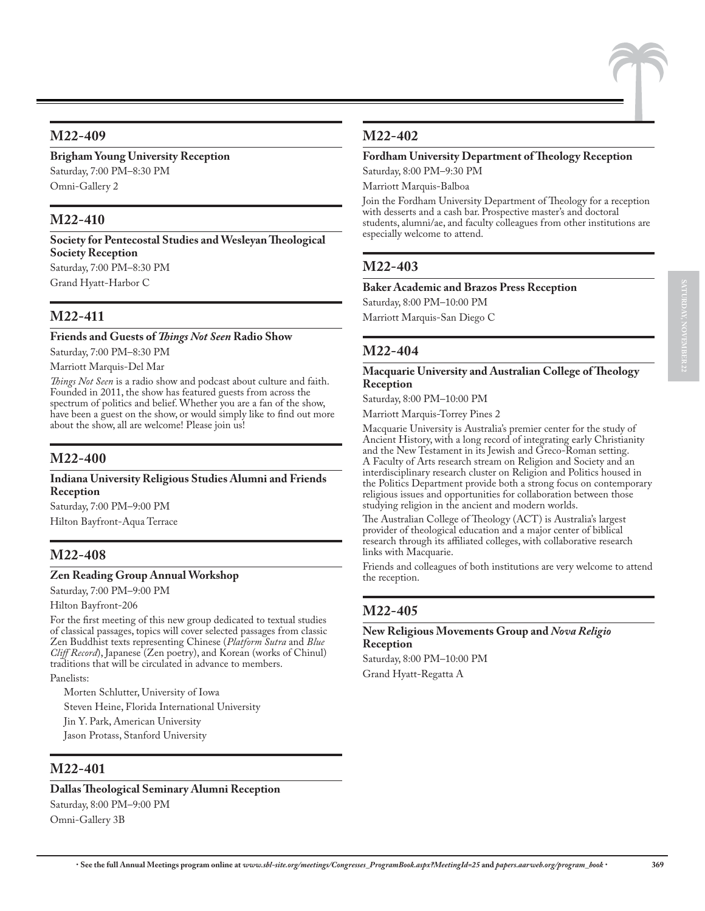# **M22-409**

# **Brigham Young University Reception** Saturday, 7:00 PM–8:30 PM

Omni-Gallery 2

# **M22-410**

**Society for Pentecostal Studies and Wesleyan Theological Society Reception** Saturday, 7:00 PM–8:30 PM

Grand Hyatt-Harbor C

# **M22-411**

**Friends and Guests of** *Things Not Seen* **Radio Show** Saturday, 7:00 PM–8:30 PM

Marriott Marquis-Del Mar

*Things Not Seen* is a radio show and podcast about culture and faith. Founded in 2011, the show has featured guests from across the spectrum of politics and belief. Whether you are a fan of the show, have been a guest on the show, or would simply like to find out more about the show, all are welcome! Please join us!

# **M22-400**

#### **Indiana University Religious Studies Alumni and Friends Reception**

Saturday, 7:00 PM–9:00 PM

Hilton Bayfront-Aqua Terrace

# **M22-408**

#### **Zen Reading Group Annual Workshop**

Saturday, 7:00 PM–9:00 PM

Hilton Bayfront-206

For the first meeting of this new group dedicated to textual studies of classical passages, topics will cover selected passages from classic Zen Buddhist texts representing Chinese (*Platform Sutra* and *Blue Cliff Record*), Japanese (Zen poetry), and Korean (works of Chinul) traditions that will be circulated in advance to members.

Panelists:

Morten Schlutter, University of Iowa Steven Heine, Florida International University Jin Y. Park, American University Jason Protass, Stanford University

#### **M22-401**

#### **Dallas Theological Seminary Alumni Reception**

Saturday, 8:00 PM–9:00 PM Omni-Gallery 3B

# **M22-402**

#### **Fordham University Department of Theology Reception**

Saturday, 8:00 PM–9:30 PM

Marriott Marquis-Balboa

Join the Fordham University Department of Theology for a reception with desserts and a cash bar. Prospective master's and doctoral students, alumni/ae, and faculty colleagues from other institutions are especially welcome to attend.

# **M22-403**

#### **Baker Academic and Brazos Press Reception**

Saturday, 8:00 PM–10:00 PM

Marriott Marquis-San Diego C

# **M22-404**

#### **Macquarie University and Australian College of Theology Reception**

Saturday, 8:00 PM–10:00 PM

Marriott Marquis-Torrey Pines 2

Macquarie University is Australia's premier center for the study of Ancient History, with a long record of integrating early Christianity and the New Testament in its Jewish and Greco-Roman setting. A Faculty of Arts research stream on Religion and Society and an interdisciplinary research cluster on Religion and Politics housed in the Politics Department provide both a strong focus on contemporary religious issues and opportunities for collaboration between those studying religion in the ancient and modern worlds.

The Australian College of Theology (ACT) is Australia's largest provider of theological education and a major center of biblical research through its affiliated colleges, with collaborative research links with Macquarie.

Friends and colleagues of both institutions are very welcome to attend the reception.

# **M22-405**

#### **New Religious Movements Group and** *Nova Religio* **Reception**

Saturday, 8:00 PM–10:00 PM Grand Hyatt-Regatta A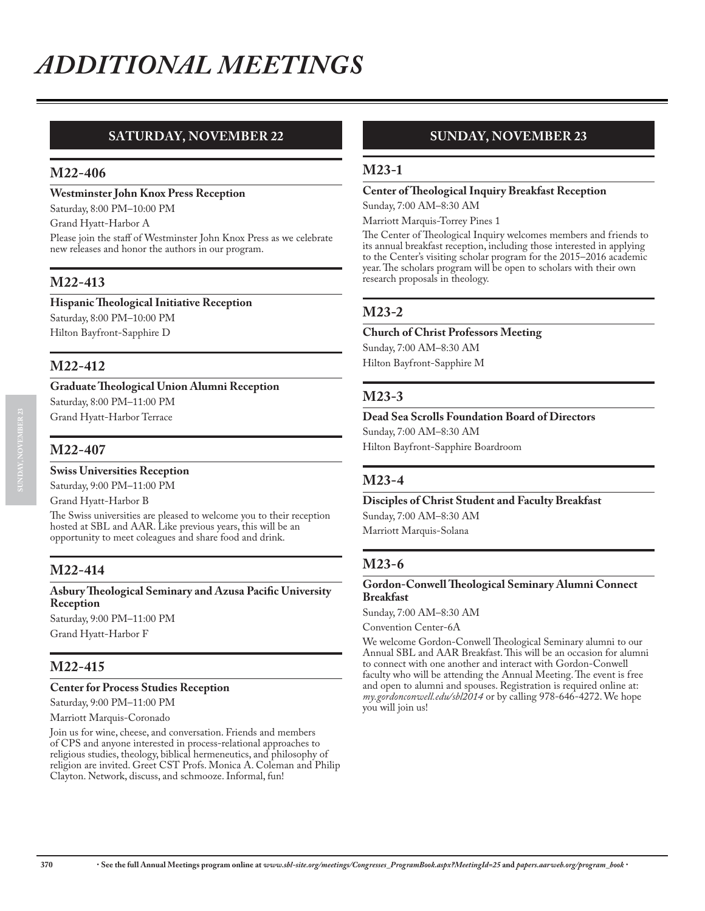# **SATURDAY, NOVEMBER 22**

#### **M22-406**

#### **Westminster John Knox Press Reception**

Saturday, 8:00 PM–10:00 PM

Grand Hyatt-Harbor A

Please join the staff of Westminster John Knox Press as we celebrate new releases and honor the authors in our program.

# **M22-413**

#### **Hispanic Theological Initiative Reception**

Saturday, 8:00 PM–10:00 PM Hilton Bayfront-Sapphire D

#### **M22-412**

#### **Graduate Theological Union Alumni Reception**

Saturday, 8:00 PM–11:00 PM Grand Hyatt-Harbor Terrace

# **M22-407**

#### **Swiss Universities Reception**

Saturday, 9:00 PM–11:00 PM

Grand Hyatt-Harbor B

The Swiss universities are pleased to welcome you to their reception hosted at SBL and AAR. Like previous years, this will be an opportunity to meet coleagues and share food and drink.

#### **M22-414**

#### **Asbury Theological Seminary and Azusa Pacific University Reception** Saturday, 9:00 PM–11:00 PM

Grand Hyatt-Harbor F

# **M22-415**

#### **Center for Process Studies Reception**

Saturday, 9:00 PM–11:00 PM

Marriott Marquis-Coronado

Join us for wine, cheese, and conversation. Friends and members of CPS and anyone interested in process-relational approaches to religious studies, theology, biblical hermeneutics, and philosophy of religion are invited. Greet CST Profs. Monica A. Coleman and Philip Clayton. Network, discuss, and schmooze. Informal, fun!

# **SUNDAY, NOVEMBER 23**

#### **M23-1**

#### **Center of Theological Inquiry Breakfast Reception**

Sunday, 7:00 AM–8:30 AM

Marriott Marquis-Torrey Pines 1 The Center of Theological Inquiry welcomes members and friends to its annual breakfast reception, including those interested in applying to the Center's visiting scholar program for the 2015–2016 academic year. The scholars program will be open to scholars with their own

# **M23-2**

#### **Church of Christ Professors Meeting**

Sunday, 7:00 AM–8:30 AM Hilton Bayfront-Sapphire M

research proposals in theology.

#### **M23-3**

**Dead Sea Scrolls Foundation Board of Directors**

Sunday, 7:00 AM–8:30 AM Hilton Bayfront-Sapphire Boardroom

# **M23-4**

**Disciples of Christ Student and Faculty Breakfast** Sunday, 7:00 AM–8:30 AM Marriott Marquis-Solana

#### **M23-6**

#### **Gordon-Conwell Theological Seminary Alumni Connect Breakfast**

Sunday, 7:00 AM–8:30 AM

Convention Center-6A

We welcome Gordon-Conwell Theological Seminary alumni to our Annual SBL and AAR Breakfast. This will be an occasion for alumni to connect with one another and interact with Gordon-Conwell faculty who will be attending the Annual Meeting. The event is free and open to alumni and spouses. Registration is required online at: *my.gordonconwell.edu/sbl2014* or by calling 978-646-4272. We hope you will join us!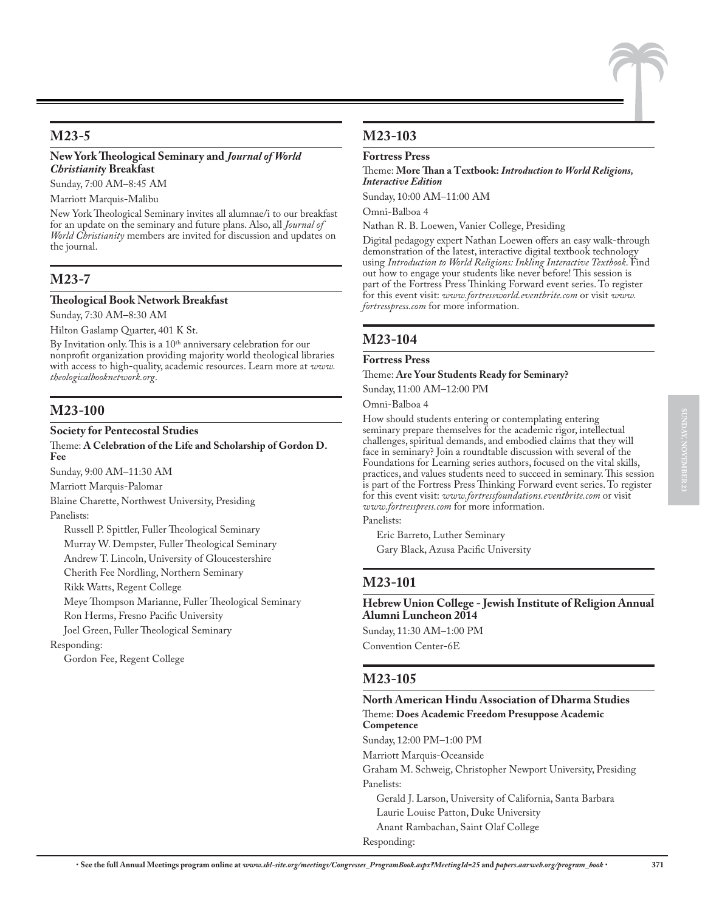# **M23-5**

#### **New York Theological Seminary and** *Journal of World Christianit***y Breakfast**

Sunday, 7:00 AM–8:45 AM

#### Marriott Marquis-Malibu

New York Theological Seminary invites all alumnae/i to our breakfast for an update on the seminary and future plans. Also, all *Journal of World Christianity* members are invited for discussion and updates on the journal.

# **M23-7**

#### **Theological Book Network Breakfast**

Sunday, 7:30 AM–8:30 AM

Hilton Gaslamp Quarter, 401 K St.

By Invitation only. This is a 10<sup>th</sup> anniversary celebration for our nonprofit organization providing majority world theological libraries with access to high-quality, academic resources. Learn more at *www. theologicalbooknetwork.org*.

# **M23-100**

#### **Society for Pentecostal Studies**

#### Theme: **A Celebration of the Life and Scholarship of Gordon D. Fee**

Sunday, 9:00 AM–11:30 AM

Marriott Marquis-Palomar

Blaine Charette, Northwest University, Presiding Panelists:

Russell P. Spittler, Fuller Theological Seminary Murray W. Dempster, Fuller Theological Seminary

Andrew T. Lincoln, University of Gloucestershire

Cherith Fee Nordling, Northern Seminary

Rikk Watts, Regent College

Meye Thompson Marianne, Fuller Theological Seminary

Ron Herms, Fresno Pacific University

Joel Green, Fuller Theological Seminary

Responding:

Gordon Fee, Regent College

# **M23-103**

#### **Fortress Press**

Theme: **More Than a Textbook:** *Introduction to World Religions, Interactive Edition*

Sunday, 10:00 AM–11:00 AM

Omni-Balboa 4

Nathan R. B. Loewen, Vanier College, Presiding

Digital pedagogy expert Nathan Loewen offers an easy walk-through demonstration of the latest, interactive digital textbook technology using *Introduction to World Religions: Inkling Interactive Textbook*. Find out how to engage your students like never before! This session is part of the Fortress Press Thinking Forward event series. To register for this event visit: *www.fortressworld.eventbrite.com* or visit *www. fortresspress.com* for more information.

#### **M23-104**

#### **Fortress Press**

#### Theme: **Are Your Students Ready for Seminary?**

Sunday, 11:00 AM–12:00 PM

Omni-Balboa 4

How should students entering or contemplating entering seminary prepare themselves for the academic rigor, intellectual challenges, spiritual demands, and embodied claims that they will face in seminary? Join a roundtable discussion with several of the Foundations for Learning series authors, focused on the vital skills, practices, and values students need to succeed in seminary. This session is part of the Fortress Press Thinking Forward event series. To register for this event visit: *www.fortressfoundations.eventbrite.com* or visit *www.fortresspress.com* for more information.

Panelists:

Eric Barreto, Luther Seminary Gary Black, Azusa Pacific University

#### **M23-101**

**Hebrew Union College - Jewish Institute of Religion Annual Alumni Luncheon 2014**

Sunday, 11:30 AM–1:00 PM Convention Center-6E

#### **M23-105**

**North American Hindu Association of Dharma Studies** Theme: **Does Academic Freedom Presuppose Academic Competence** Sunday, 12:00 PM–1:00 PM Marriott Marquis-Oceanside Graham M. Schweig, Christopher Newport University, Presiding Panelists: Gerald J. Larson, University of California, Santa Barbara Laurie Louise Patton, Duke University Anant Rambachan, Saint Olaf College Responding: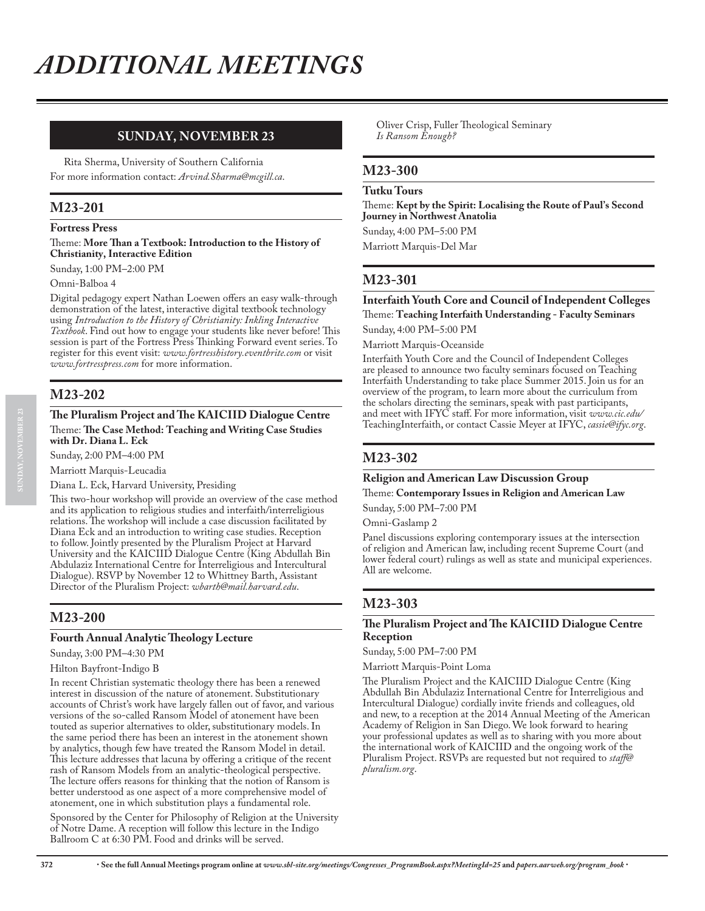# **SUNDAY, NOVEMBER 23**

Rita Sherma, University of Southern California For more information contact: *Arvind.Sharma@mcgill.ca*.

# **M23-201**

**Fortress Press**

#### Theme: **More Than a Textbook: Introduction to the History of Christianity, Interactive Edition**

Sunday, 1:00 PM–2:00 PM

Omni-Balboa 4

Digital pedagogy expert Nathan Loewen offers an easy walk-through demonstration of the latest, interactive digital textbook technology using *Introduction to the History of Christianity: Inkling Interactive Textbook*. Find out how to engage your students like never before! This session is part of the Fortress Press Thinking Forward event series. To register for this event visit: *www.fortresshistory.eventbrite.com* or visit *www.fortresspress.com* for more information.

#### **M23-202**

#### **The Pluralism Project and The KAICIID Dialogue Centre** Theme: **The Case Method: Teaching and Writing Case Studies with Dr. Diana L. Eck**

Sunday, 2:00 PM–4:00 PM

Marriott Marquis-Leucadia

Diana L. Eck, Harvard University, Presiding

This two-hour workshop will provide an overview of the case method and its application to religious studies and interfaith/interreligious relations. The workshop will include a case discussion facilitated by Diana Eck and an introduction to writing case studies. Reception to follow. Jointly presented by the Pluralism Project at Harvard University and the KAICIID Dialogue Centre (King Abdullah Bin Abdulaziz International Centre for Interreligious and Intercultural Dialogue). RSVP by November 12 to Whittney Barth, Assistant Director of the Pluralism Project: *wbarth@mail.harvard.edu*.

# **M23-200**

#### **Fourth Annual Analytic Theology Lecture**

Sunday, 3:00 PM–4:30 PM

#### Hilton Bayfront-Indigo B

In recent Christian systematic theology there has been a renewed interest in discussion of the nature of atonement. Substitutionary accounts of Christ's work have largely fallen out of favor, and various versions of the so-called Ransom Model of atonement have been touted as superior alternatives to older, substitutionary models. In the same period there has been an interest in the atonement shown by analytics, though few have treated the Ransom Model in detail. This lecture addresses that lacuna by offering a critique of the recent rash of Ransom Models from an analytic-theological perspective. The lecture offers reasons for thinking that the notion of Ransom is better understood as one aspect of a more comprehensive model of atonement, one in which substitution plays a fundamental role.

Sponsored by the Center for Philosophy of Religion at the University of Notre Dame. A reception will follow this lecture in the Indigo Ballroom C at 6:30 PM. Food and drinks will be served.

Oliver Crisp, Fuller Theological Seminary *Is Ransom Enough?*

#### **M23-300**

#### **Tutku Tours**

Theme: **Kept by the Spirit: Localising the Route of Paul's Second Journey in Northwest Anatolia** Sunday, 4:00 PM–5:00 PM Marriott Marquis-Del Mar

#### **M23-301**

#### **Interfaith Youth Core and Council of Independent Colleges** Theme: **Teaching Interfaith Understanding - Faculty Seminars**

Sunday, 4:00 PM–5:00 PM

Marriott Marquis-Oceanside

Interfaith Youth Core and the Council of Independent Colleges are pleased to announce two faculty seminars focused on Teaching Interfaith Understanding to take place Summer 2015. Join us for an overview of the program, to learn more about the curriculum from the scholars directing the seminars, speak with past participants, and meet with IFYC staff. For more information, visit *www.cic.edu/* TeachingInterfaith, or contact Cassie Meyer at IFYC, *cassie@ifyc.org*.

#### **M23-302**

#### **Religion and American Law Discussion Group**

Theme: **Contemporary Issues in Religion and American Law**

Sunday, 5:00 PM–7:00 PM

Omni-Gaslamp 2

Panel discussions exploring contemporary issues at the intersection of religion and American law, including recent Supreme Court (and lower federal court) rulings as well as state and municipal experiences. All are welcome.

# **M23-303**

#### **The Pluralism Project and The KAICIID Dialogue Centre Reception**

Sunday, 5:00 PM–7:00 PM

Marriott Marquis-Point Loma

The Pluralism Project and the KAICIID Dialogue Centre (King Abdullah Bin Abdulaziz International Centre for Interreligious and Intercultural Dialogue) cordially invite friends and colleagues, old and new, to a reception at the 2014 Annual Meeting of the American Academy of Religion in San Diego. We look forward to hearing your professional updates as well as to sharing with you more about the international work of KAICIID and the ongoing work of the Pluralism Project. RSVPs are requested but not required to *staff@ pluralism.org*.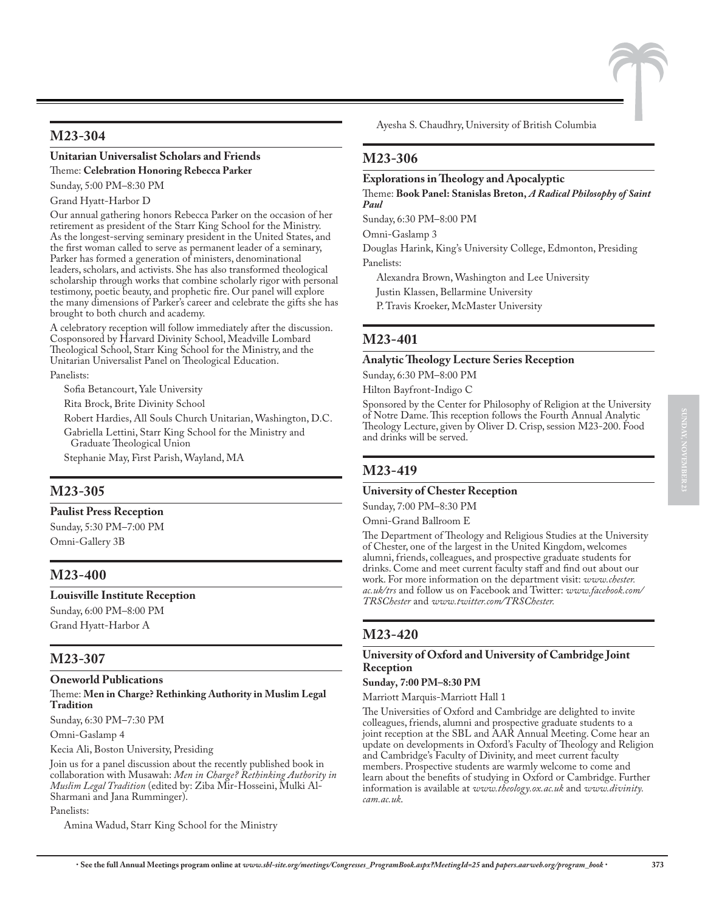# **M23-304**

# **Unitarian Universalist Scholars and Friends**

Theme: **Celebration Honoring Rebecca Parker**

Sunday, 5:00 PM–8:30 PM

Grand Hyatt-Harbor D

Our annual gathering honors Rebecca Parker on the occasion of her retirement as president of the Starr King School for the Ministry. As the longest-serving seminary president in the United States, and the first woman called to serve as permanent leader of a seminary, Parker has formed a generation of ministers, denominational leaders, scholars, and activists. She has also transformed theological scholarship through works that combine scholarly rigor with personal testimony, poetic beauty, and prophetic fire. Our panel will explore the many dimensions of Parker's career and celebrate the gifts she has brought to both church and academy.

A celebratory reception will follow immediately after the discussion. Cosponsored by Harvard Divinity School, Meadville Lombard Theological School, Starr King School for the Ministry, and the Unitarian Universalist Panel on Theological Education.

Panelists:

Sofia Betancourt, Yale University

Rita Brock, Brite Divinity School

Robert Hardies, All Souls Church Unitarian, Washington, D.C. Gabriella Lettini, Starr King School for the Ministry and

Graduate Theological Union

Stephanie May, First Parish, Wayland, MA

# **M23-305**

**Paulist Press Reception**

Sunday, 5:30 PM–7:00 PM Omni-Gallery 3B

# **M23-400**

**Louisville Institute Reception**

Sunday, 6:00 PM–8:00 PM Grand Hyatt-Harbor A

# **M23-307**

**Oneworld Publications**

#### Theme: **Men in Charge? Rethinking Authority in Muslim Legal Tradition**

Sunday, 6:30 PM–7:30 PM

Omni-Gaslamp 4

Kecia Ali, Boston University, Presiding

Join us for a panel discussion about the recently published book in collaboration with Musawah: *Men in Charge? Rethinking Authority in Muslim Legal Tradition* (edited by: Ziba Mir-Hosseini, Mulki Al-Sharmani and Jana Rumminger).

Panelists:

Amina Wadud, Starr King School for the Ministry

Ayesha S. Chaudhry, University of British Columbia

#### **M23-306**

#### **Explorations in Theology and Apocalyptic**

Theme: **Book Panel: Stanislas Breton,** *A Radical Philosophy of Saint Paul*

Sunday, 6:30 PM–8:00 PM

Omni-Gaslamp 3

Douglas Harink, King's University College, Edmonton, Presiding Panelists:

Alexandra Brown, Washington and Lee University

Justin Klassen, Bellarmine University

P. Travis Kroeker, McMaster University

# **M23-401**

#### **Analytic Theology Lecture Series Reception**

Sunday, 6:30 PM–8:00 PM

Hilton Bayfront-Indigo C

Sponsored by the Center for Philosophy of Religion at the University of Notre Dame. This reception follows the Fourth Annual Analytic Theology Lecture, given by Oliver D. Crisp, session M23-200. Food and drinks will be served.

#### **M23-419**

#### **University of Chester Reception**

Sunday, 7:00 PM–8:30 PM

Omni-Grand Ballroom E

The Department of Theology and Religious Studies at the University of Chester, one of the largest in the United Kingdom, welcomes alumni, friends, colleagues, and prospective graduate students for drinks. Come and meet current faculty staff and find out about our work. For more information on the department visit: *www.chester. ac.uk/trs* and follow us on Facebook and Twitter: *www.facebook.com/ TRSChester* and *www.twitter.com/TRSChester.*

# **M23-420**

#### **University of Oxford and University of Cambridge Joint Reception**

**Sunday, 7:00 PM–8:30 PM**

Marriott Marquis-Marriott Hall 1

The Universities of Oxford and Cambridge are delighted to invite colleagues, friends, alumni and prospective graduate students to a joint reception at the SBL and AAR Annual Meeting. Come hear an update on developments in Oxford's Faculty of Theology and Religion and Cambridge's Faculty of Divinity, and meet current faculty members. Prospective students are warmly welcome to come and learn about the benefits of studying in Oxford or Cambridge. Further information is available at *www.theology.ox.ac.uk* and *www.divinity. cam.ac.uk*.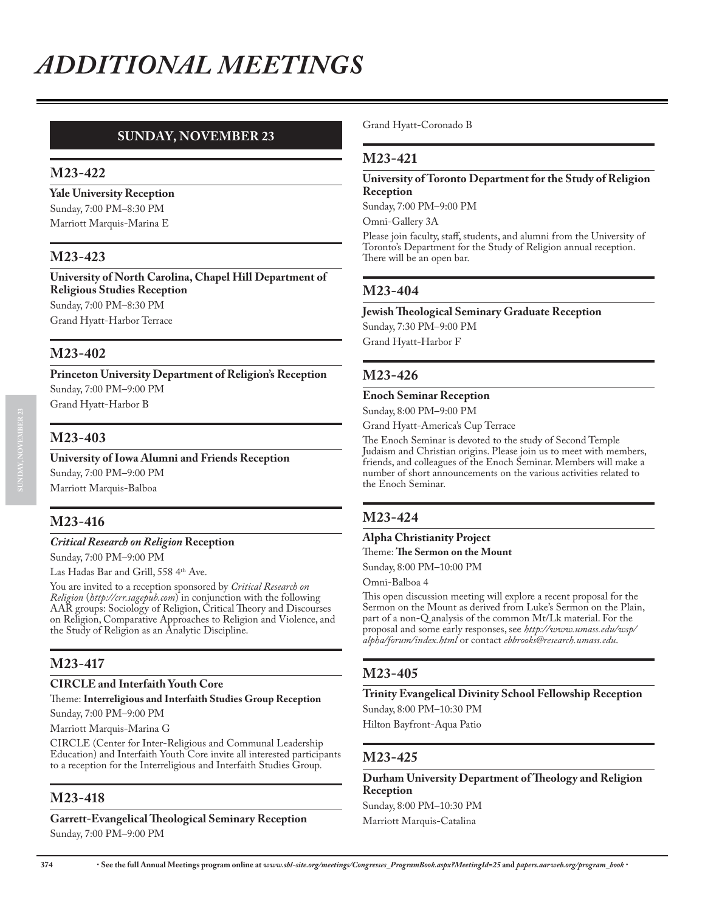# **SUNDAY, NOVEMBER 23**

#### **M23-422**

**Yale University Reception** Sunday, 7:00 PM–8:30 PM Marriott Marquis-Marina E

# **M23-423**

**University of North Carolina, Chapel Hill Department of Religious Studies Reception** Sunday, 7:00 PM–8:30 PM Grand Hyatt-Harbor Terrace

#### **M23-402**

**Princeton University Department of Religion's Reception** Sunday, 7:00 PM–9:00 PM Grand Hyatt-Harbor B

#### **M23-403**

#### **University of Iowa Alumni and Friends Reception**

Sunday, 7:00 PM–9:00 PM Marriott Marquis-Balboa

# **M23-416**

#### *Critical Research on Religion* **Reception**

Sunday, 7:00 PM–9:00 PM

Las Hadas Bar and Grill, 558 4th Ave.

You are invited to a reception sponsored by *Critical Research on Religion* (*http://crr.sagepub.com*) in conjunction with the following AAR groups: Sociology of Religion, Critical Theory and Discourses on Religion, Comparative Approaches to Religion and Violence, and the Study of Religion as an Analytic Discipline.

# **M23-417**

# **CIRCLE and Interfaith Youth Core**

# Theme: **Interreligious and Interfaith Studies Group Reception**

Sunday, 7:00 PM–9:00 PM

Marriott Marquis-Marina G

CIRCLE (Center for Inter-Religious and Communal Leadership Education) and Interfaith Youth Core invite all interested participants to a reception for the Interreligious and Interfaith Studies Group.

#### **M23-418**

#### **Garrett-Evangelical Theological Seminary Reception** Sunday, 7:00 PM–9:00 PM

Grand Hyatt-Coronado B

#### **M23-421**

#### **University of Toronto Department for the Study of Religion Reception**

Sunday, 7:00 PM–9:00 PM

Omni-Gallery 3A

Please join faculty, staff, students, and alumni from the University of Toronto's Department for the Study of Religion annual reception. There will be an open bar.

#### **M23-404**

#### **Jewish Theological Seminary Graduate Reception**

Sunday, 7:30 PM–9:00 PM Grand Hyatt-Harbor F

#### **M23-426**

#### **Enoch Seminar Reception**

Sunday, 8:00 PM–9:00 PM

Grand Hyatt-America's Cup Terrace

The Enoch Seminar is devoted to the study of Second Temple Judaism and Christian origins. Please join us to meet with members, friends, and colleagues of the Enoch Seminar. Members will make a number of short announcements on the various activities related to the Enoch Seminar.

#### **M23-424**

#### **Alpha Christianity Project**

Theme: **The Sermon on the Mount** Sunday, 8:00 PM–10:00 PM

Omni-Balboa 4

This open discussion meeting will explore a recent proposal for the Sermon on the Mount as derived from Luke's Sermon on the Plain, part of a non-Q analysis of the common Mt/Lk material. For the proposal and some early responses, see *http://www.umass.edu/wsp/ alpha/forum/index.html* or contact *ebbrooks@research.umass.edu*.

# **M23-405**

**Trinity Evangelical Divinity School Fellowship Reception** Sunday, 8:00 PM–10:30 PM

Hilton Bayfront-Aqua Patio

#### **M23-425**

**Durham University Department of Theology and Religion Reception** Sunday, 8:00 PM–10:30 PM Marriott Marquis-Catalina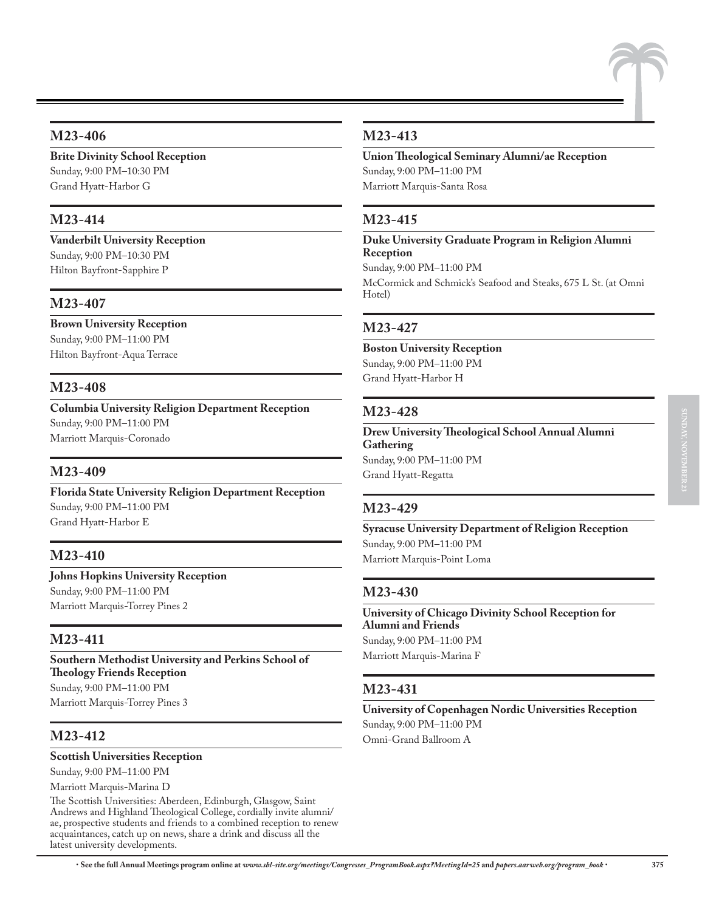# **M23-406**

**Brite Divinity School Reception** Sunday, 9:00 PM–10:30 PM Grand Hyatt-Harbor G

# **M23-414**

**Vanderbilt University Reception** Sunday, 9:00 PM–10:30 PM Hilton Bayfront-Sapphire P

# **M23-407**

**Brown University Reception** Sunday, 9:00 PM–11:00 PM Hilton Bayfront-Aqua Terrace

# **M23-408**

**Columbia University Religion Department Reception** Sunday, 9:00 PM–11:00 PM Marriott Marquis-Coronado

# **M23-409**

**Florida State University Religion Department Reception** Sunday, 9:00 PM–11:00 PM Grand Hyatt-Harbor E

# **M23-410**

**Johns Hopkins University Reception** Sunday, 9:00 PM–11:00 PM Marriott Marquis-Torrey Pines 2

# **M23-411**

**Southern Methodist University and Perkins School of Theology Friends Reception** Sunday, 9:00 PM–11:00 PM Marriott Marquis-Torrey Pines 3

# **M23-412**

#### **Scottish Universities Reception**

Sunday, 9:00 PM–11:00 PM

Marriott Marquis-Marina D

The Scottish Universities: Aberdeen, Edinburgh, Glasgow, Saint Andrews and Highland Theological College, cordially invite alumni/ ae, prospective students and friends to a combined reception to renew acquaintances, catch up on news, share a drink and discuss all the latest university developments.

# **M23-413**

**Union Theological Seminary Alumni/ae Reception** Sunday, 9:00 PM–11:00 PM Marriott Marquis-Santa Rosa

# **M23-415**

**Duke University Graduate Program in Religion Alumni Reception**

Sunday, 9:00 PM–11:00 PM

McCormick and Schmick's Seafood and Steaks, 675 L St. (at Omni Hotel)

# **M23-427**

**Boston University Reception** Sunday, 9:00 PM–11:00 PM Grand Hyatt-Harbor H

#### **M23-428**

**Drew University Theological School Annual Alumni Gathering** Sunday, 9:00 PM–11:00 PM Grand Hyatt-Regatta

#### **M23-429**

**Syracuse University Department of Religion Reception** Sunday, 9:00 PM–11:00 PM Marriott Marquis-Point Loma

# **M23-430**

**University of Chicago Divinity School Reception for Alumni and Friends** Sunday, 9:00 PM–11:00 PM Marriott Marquis-Marina F

# **M23-431**

**University of Copenhagen Nordic Universities Reception** Sunday, 9:00 PM–11:00 PM Omni-Grand Ballroom A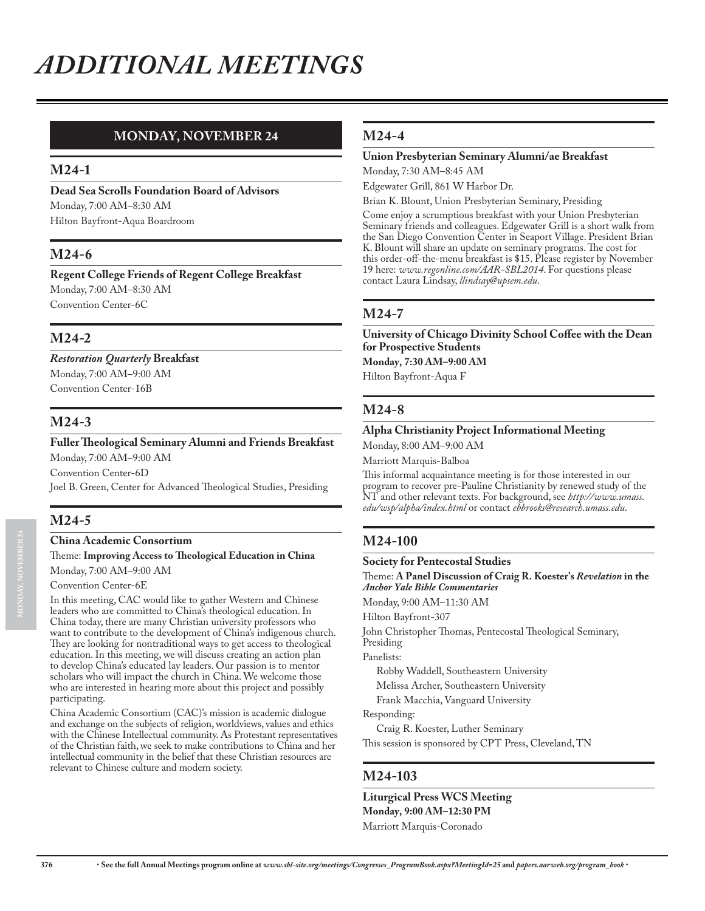# **MONDAY, NOVEMBER 24**

#### **M24-1**

**Dead Sea Scrolls Foundation Board of Advisors** Monday, 7:00 AM–8:30 AM Hilton Bayfront-Aqua Boardroom

# **M24-6**

**Regent College Friends of Regent College Breakfast** Monday, 7:00 AM–8:30 AM Convention Center-6C

#### **M24-2**

*Restoration Quarterly* **Breakfast** Monday, 7:00 AM–9:00 AM Convention Center-16B

#### **M24-3**

**Fuller Theological Seminary Alumni and Friends Breakfast** Monday, 7:00 AM–9:00 AM Convention Center-6D Joel B. Green, Center for Advanced Theological Studies, Presiding

#### **M24-5**

#### **China Academic Consortium**

Theme: **Improving Access to Theological Education in China** Monday, 7:00 AM–9:00 AM

#### Convention Center-6E

In this meeting, CAC would like to gather Western and Chinese leaders who are committed to China's theological education. In China today, there are many Christian university professors who want to contribute to the development of China's indigenous church. They are looking for nontraditional ways to get access to theological education. In this meeting, we will discuss creating an action plan to develop China's educated lay leaders. Our passion is to mentor scholars who will impact the church in China. We welcome those who are interested in hearing more about this project and possibly participating.

China Academic Consortium (CAC)'s mission is academic dialogue and exchange on the subjects of religion, worldviews, values and ethics with the Chinese Intellectual community. As Protestant representatives of the Christian faith, we seek to make contributions to China and her intellectual community in the belief that these Christian resources are relevant to Chinese culture and modern society.

#### **M24-4**

#### **Union Presbyterian Seminary Alumni/ae Breakfast**

Monday, 7:30 AM–8:45 AM

Edgewater Grill, 861 W Harbor Dr.

Brian K. Blount, Union Presbyterian Seminary, Presiding Come enjoy a scrumptious breakfast with your Union Presbyterian Seminary friends and colleagues. Edgewater Grill is a short walk from the San Diego Convention Center in Seaport Village. President Brian K. Blount will share an update on seminary programs. The cost for this order-off-the-menu breakfast is \$15. Please register by November 19 here: *www.regonline.com/AAR-SBL2014*. For questions please contact Laura Lindsay, *llindsay@upsem.edu*.

# **M24-7**

**University of Chicago Divinity School Coffee with the Dean for Prospective Students Monday, 7:30 AM–9:00 AM**

Hilton Bayfront-Aqua F

# **M24-8**

#### **Alpha Christianity Project Informational Meeting**

Monday, 8:00 AM–9:00 AM

Marriott Marquis-Balboa

This informal acquaintance meeting is for those interested in our program to recover pre-Pauline Christianity by renewed study of the NT and other relevant texts. For background, see *http://www.umass. edu/wsp/alpha/index.html* or contact *ebbrooks@research.umass.edu*.

#### **M24-100**

**Society for Pentecostal Studies**

Theme: **A Panel Discussion of Craig R. Koester's** *Revelation* **in the**  *Anchor Yale Bible Commentaries*

Monday, 9:00 AM–11:30 AM

Hilton Bayfront-307

John Christopher Thomas, Pentecostal Theological Seminary, Presiding

Panelists:

Robby Waddell, Southeastern University

Melissa Archer, Southeastern University

Frank Macchia, Vanguard University

Responding:

Craig R. Koester, Luther Seminary This session is sponsored by CPT Press, Cleveland, TN

#### **M24-103**

**Liturgical Press WCS Meeting Monday, 9:00 AM–12:30 PM** Marriott Marquis-Coronado